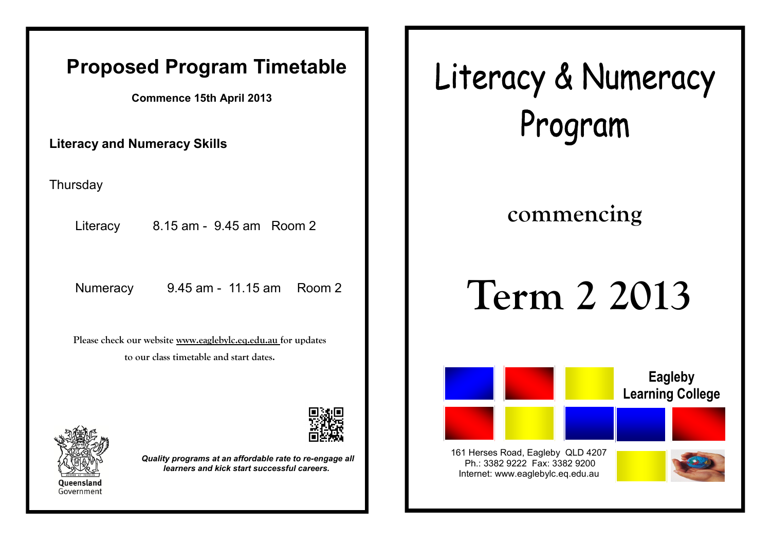### **Proposed Program Timetable**

**Commence 15th April 2013**

**Literacy and Numeracy Skills**

**Thursday** 

Literacy 8.15 am - 9.45 am Room 2

**Please check our website www.eaglebylc.eq.edu.au for updates to our class timetable and start dates.**





*Quality programs at an affordable rate to re-engage all learners and kick start successful careers.*

Literacy & Numeracy Program

## **commencing**

# Numeracy 9.45 am - 11.15 am Room 2 | | Term 2 2013



Internet: www.eaglebylc.eq.edu.au